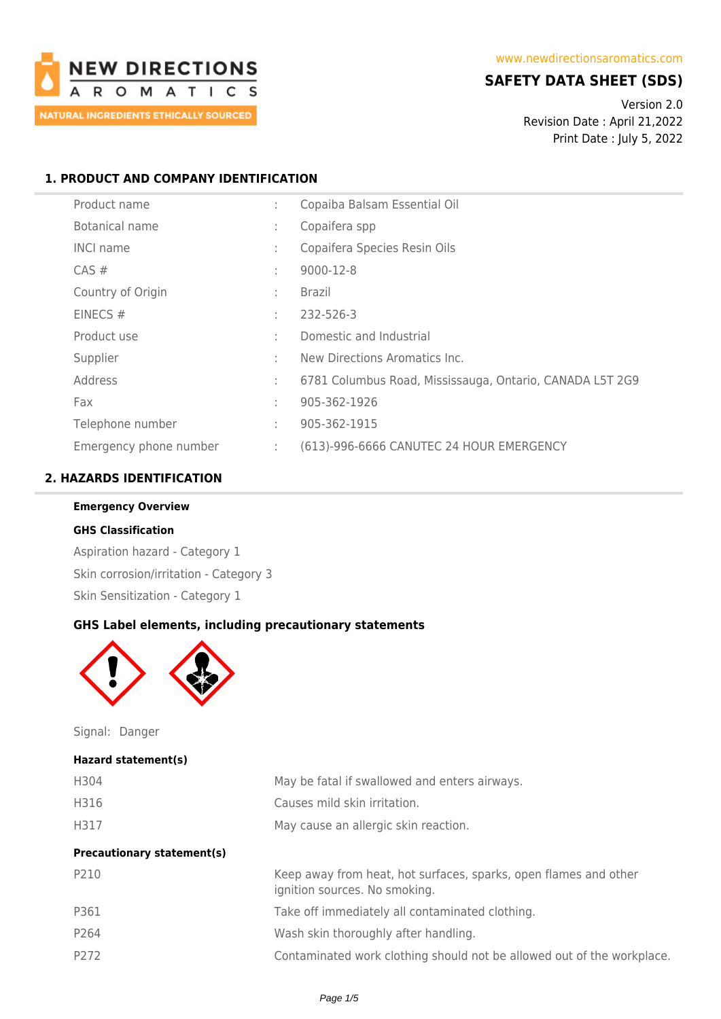

## **SAFETY DATA SHEET (SDS)**

Version 2.0 Revision Date : April 21,2022 Print Date : July 5, 2022

## **1. PRODUCT AND COMPANY IDENTIFICATION**

| Product name           | ÷            | Copaiba Balsam Essential Oil                             |
|------------------------|--------------|----------------------------------------------------------|
| <b>Botanical name</b>  | ÷            | Copaifera spp                                            |
| <b>INCI name</b>       | ÷            | Copaifera Species Resin Oils                             |
| $CAS \#$               | $\mathbf{r}$ | 9000-12-8                                                |
| Country of Origin      | ÷            | <b>Brazil</b>                                            |
| EINECS#                | ÷            | 232-526-3                                                |
| Product use            |              | Domestic and Industrial                                  |
| Supplier               | $\mathbf{r}$ | New Directions Aromatics Inc.                            |
| Address                | ÷            | 6781 Columbus Road, Mississauga, Ontario, CANADA L5T 2G9 |
| Fax                    | ÷            | 905-362-1926                                             |
| Telephone number       | ÷            | 905-362-1915                                             |
| Emergency phone number | ÷            | (613)-996-6666 CANUTEC 24 HOUR EMERGENCY                 |

## **2. HAZARDS IDENTIFICATION**

# **Emergency Overview**

#### **GHS Classification**

Aspiration hazard - Category 1 Skin corrosion/irritation - Category 3 Skin Sensitization - Category 1

#### **GHS Label elements, including precautionary statements**



Signal: Danger

#### **Hazard statement(s)**

| H304                              | May be fatal if swallowed and enters airways.                                                     |
|-----------------------------------|---------------------------------------------------------------------------------------------------|
| H316                              | Causes mild skin irritation.                                                                      |
| H317                              | May cause an allergic skin reaction.                                                              |
| <b>Precautionary statement(s)</b> |                                                                                                   |
| P210                              | Keep away from heat, hot surfaces, sparks, open flames and other<br>ignition sources. No smoking. |
| P361                              | Take off immediately all contaminated clothing.                                                   |
| P <sub>264</sub>                  | Wash skin thoroughly after handling.                                                              |
| P272                              | Contaminated work clothing should not be allowed out of the workplace.                            |
|                                   |                                                                                                   |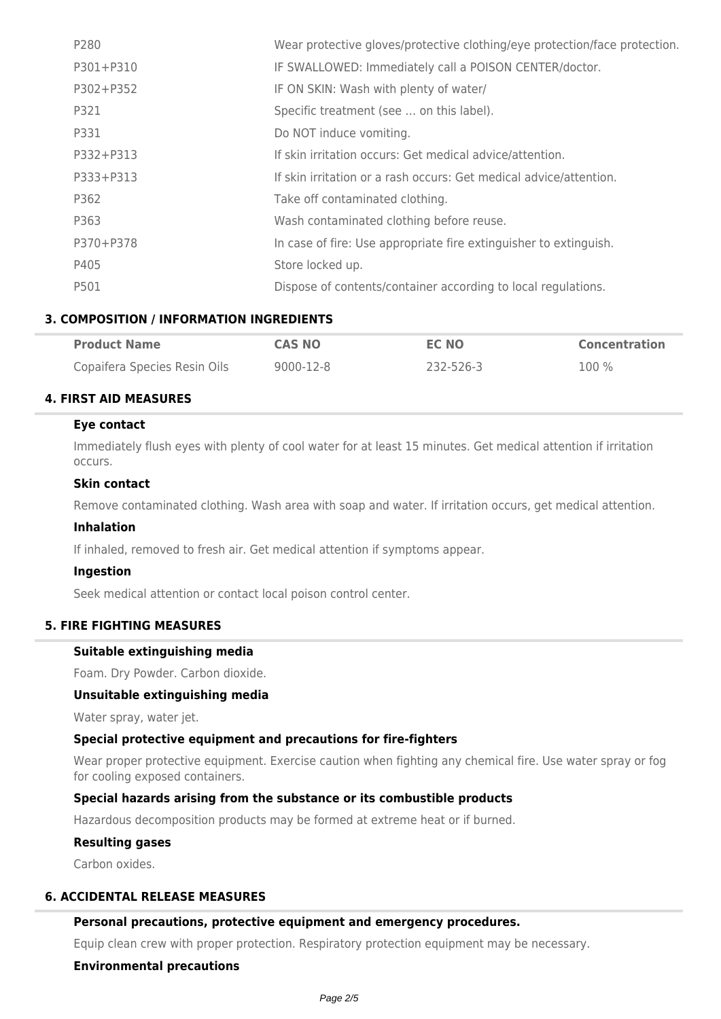| P280      | Wear protective gloves/protective clothing/eye protection/face protection. |
|-----------|----------------------------------------------------------------------------|
| P301+P310 | IF SWALLOWED: Immediately call a POISON CENTER/doctor.                     |
| P302+P352 | IF ON SKIN: Wash with plenty of water/                                     |
| P321      | Specific treatment (see  on this label).                                   |
| P331      | Do NOT induce vomiting.                                                    |
| P332+P313 | If skin irritation occurs: Get medical advice/attention.                   |
| P333+P313 | If skin irritation or a rash occurs: Get medical advice/attention.         |
| P362      | Take off contaminated clothing.                                            |
| P363      | Wash contaminated clothing before reuse.                                   |
| P370+P378 | In case of fire: Use appropriate fire extinguisher to extinguish.          |
| P405      | Store locked up.                                                           |
| P501      | Dispose of contents/container according to local regulations.              |

## **3. COMPOSITION / INFORMATION INGREDIENTS**

| <b>Product Name</b>          | <b>CAS NO</b> | <b>EC NO</b> | <b>Concentration</b> |
|------------------------------|---------------|--------------|----------------------|
| Copaifera Species Resin Oils | 9000-12-8     | 232-526-3    | 100 %                |

## **4. FIRST AID MEASURES**

#### **Eye contact**

Immediately flush eyes with plenty of cool water for at least 15 minutes. Get medical attention if irritation occurs.

#### **Skin contact**

Remove contaminated clothing. Wash area with soap and water. If irritation occurs, get medical attention.

#### **Inhalation**

If inhaled, removed to fresh air. Get medical attention if symptoms appear.

#### **Ingestion**

Seek medical attention or contact local poison control center.

## **5. FIRE FIGHTING MEASURES**

#### **Suitable extinguishing media**

Foam. Dry Powder. Carbon dioxide.

#### **Unsuitable extinguishing media**

Water spray, water jet.

## **Special protective equipment and precautions for fire-fighters**

Wear proper protective equipment. Exercise caution when fighting any chemical fire. Use water spray or fog for cooling exposed containers.

#### **Special hazards arising from the substance or its combustible products**

Hazardous decomposition products may be formed at extreme heat or if burned.

#### **Resulting gases**

Carbon oxides.

### **6. ACCIDENTAL RELEASE MEASURES**

#### **Personal precautions, protective equipment and emergency procedures.**

Equip clean crew with proper protection. Respiratory protection equipment may be necessary.

## **Environmental precautions**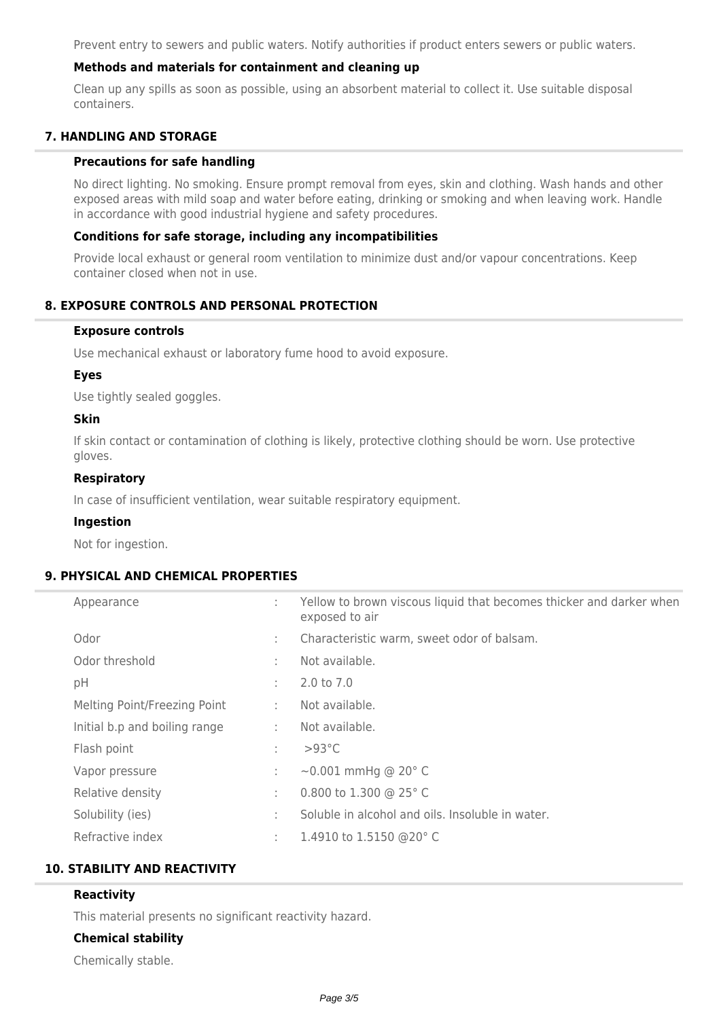Prevent entry to sewers and public waters. Notify authorities if product enters sewers or public waters.

## **Methods and materials for containment and cleaning up**

Clean up any spills as soon as possible, using an absorbent material to collect it. Use suitable disposal containers.

## **7. HANDLING AND STORAGE**

#### **Precautions for safe handling**

No direct lighting. No smoking. Ensure prompt removal from eyes, skin and clothing. Wash hands and other exposed areas with mild soap and water before eating, drinking or smoking and when leaving work. Handle in accordance with good industrial hygiene and safety procedures.

#### **Conditions for safe storage, including any incompatibilities**

Provide local exhaust or general room ventilation to minimize dust and/or vapour concentrations. Keep container closed when not in use.

## **8. EXPOSURE CONTROLS AND PERSONAL PROTECTION**

#### **Exposure controls**

Use mechanical exhaust or laboratory fume hood to avoid exposure.

#### **Eyes**

Use tightly sealed goggles.

#### **Skin**

If skin contact or contamination of clothing is likely, protective clothing should be worn. Use protective gloves.

## **Respiratory**

In case of insufficient ventilation, wear suitable respiratory equipment.

#### **Ingestion**

Not for ingestion.

## **9. PHYSICAL AND CHEMICAL PROPERTIES**

| Appearance                    | ÷. | Yellow to brown viscous liquid that becomes thicker and darker when<br>exposed to air |
|-------------------------------|----|---------------------------------------------------------------------------------------|
| Odor                          | ÷. | Characteristic warm, sweet odor of balsam.                                            |
| Odor threshold                | ÷. | Not available.                                                                        |
| pH                            | ÷  | 2.0 to 7.0                                                                            |
| Melting Point/Freezing Point  | ÷. | Not available.                                                                        |
| Initial b.p and boiling range | ÷  | Not available.                                                                        |
| Flash point                   | ÷  | $>93^{\circ}$ C                                                                       |
| Vapor pressure                | ÷  | $\sim$ 0.001 mmHg @ 20 $^{\circ}$ C                                                   |
| Relative density              | ÷  | 0.800 to 1.300 @ 25° C                                                                |
| Solubility (ies)              | ÷. | Soluble in alcohol and oils. Insoluble in water.                                      |
| Refractive index              | ÷  | 1.4910 to 1.5150 @20°C                                                                |

### **10. STABILITY AND REACTIVITY**

## **Reactivity**

This material presents no significant reactivity hazard.

#### **Chemical stability**

Chemically stable.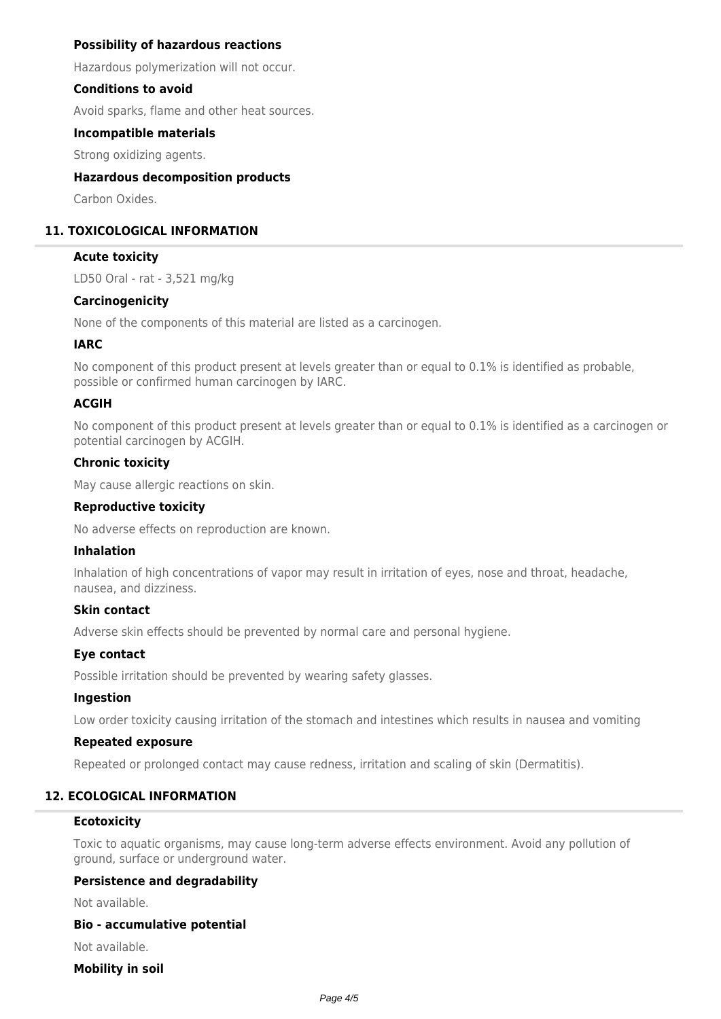### **Possibility of hazardous reactions**

Hazardous polymerization will not occur.

#### **Conditions to avoid**

Avoid sparks, flame and other heat sources.

#### **Incompatible materials**

Strong oxidizing agents.

### **Hazardous decomposition products**

Carbon Oxides.

## **11. TOXICOLOGICAL INFORMATION**

#### **Acute toxicity**

LD50 Oral - rat - 3,521 mg/kg

#### **Carcinogenicity**

None of the components of this material are listed as a carcinogen.

## **IARC**

No component of this product present at levels greater than or equal to 0.1% is identified as probable, possible or confirmed human carcinogen by IARC.

## **ACGIH**

No component of this product present at levels greater than or equal to 0.1% is identified as a carcinogen or potential carcinogen by ACGIH.

#### **Chronic toxicity**

May cause allergic reactions on skin.

#### **Reproductive toxicity**

No adverse effects on reproduction are known.

### **Inhalation**

Inhalation of high concentrations of vapor may result in irritation of eyes, nose and throat, headache, nausea, and dizziness.

#### **Skin contact**

Adverse skin effects should be prevented by normal care and personal hygiene.

#### **Eye contact**

Possible irritation should be prevented by wearing safety glasses.

#### **Ingestion**

Low order toxicity causing irritation of the stomach and intestines which results in nausea and vomiting

#### **Repeated exposure**

Repeated or prolonged contact may cause redness, irritation and scaling of skin (Dermatitis).

## **12. ECOLOGICAL INFORMATION**

#### **Ecotoxicity**

Toxic to aquatic organisms, may cause long-term adverse effects environment. Avoid any pollution of ground, surface or underground water.

### **Persistence and degradability**

Not available.

#### **Bio - accumulative potential**

Not available.

#### **Mobility in soil**